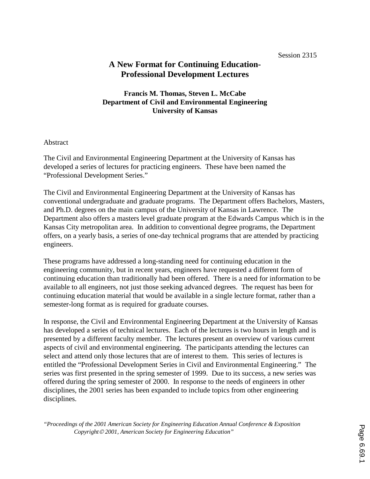# **A New Format for Continuing Education-Professional Development Lectures**

# **Francis M. Thomas, Steven L. McCabe Department of Civil and Environmental Engineering University of Kansas**

#### Abstract

The Civil and Environmental Engineering Department at the University of Kansas has developed a series of lectures for practicing engineers. These have been named the "Professional Development Series."

The Civil and Environmental Engineering Department at the University of Kansas has conventional undergraduate and graduate programs. The Department offers Bachelors, Masters, and Ph.D. degrees on the main campus of the University of Kansas in Lawrence. The Department also offers a masters level graduate program at the Edwards Campus which is in the Kansas City metropolitan area. In addition to conventional degree programs, the Department offers, on a yearly basis, a series of one-day technical programs that are attended by practicing engineers.

These programs have addressed a long-standing need for continuing education in the engineering community, but in recent years, engineers have requested a different form of continuing education than traditionally had been offered. There is a need for information to be available to all engineers, not just those seeking advanced degrees. The request has been for continuing education material that would be available in a single lecture format, rather than a semester-long format as is required for graduate courses.

In response, the Civil and Environmental Engineering Department at the University of Kansas has developed a series of technical lectures. Each of the lectures is two hours in length and is presented by a different faculty member. The lectures present an overview of various current aspects of civil and environmental engineering. The participants attending the lectures can select and attend only those lectures that are of interest to them. This series of lectures is entitled the "Professional Development Series in Civil and Environmental Engineering." The series was first presented in the spring semester of 1999. Due to its success, a new series was offered during the spring semester of 2000. In response to the needs of engineers in other disciplines, the 2001 series has been expanded to include topics from other engineering disciplines.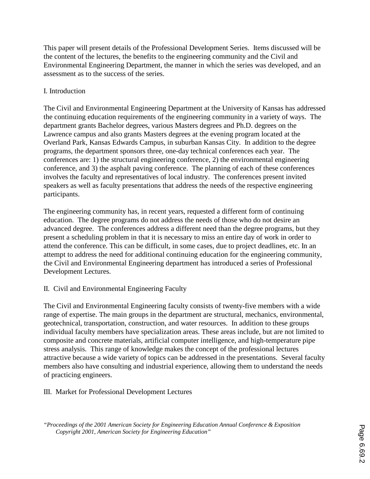This paper will present details of the Professional Development Series. Items discussed will be the content of the lectures, the benefits to the engineering community and the Civil and Environmental Engineering Department, the manner in which the series was developed, and an assessment as to the success of the series.

# I. Introduction

The Civil and Environmental Engineering Department at the University of Kansas has addressed the continuing education requirements of the engineering community in a variety of ways. The department grants Bachelor degrees, various Masters degrees and Ph.D. degrees on the Lawrence campus and also grants Masters degrees at the evening program located at the Overland Park, Kansas Edwards Campus, in suburban Kansas City. In addition to the degree programs, the department sponsors three, one-day technical conferences each year. The conferences are: 1) the structural engineering conference, 2) the environmental engineering conference, and 3) the asphalt paving conference. The planning of each of these conferences involves the faculty and representatives of local industry. The conferences present invited speakers as well as faculty presentations that address the needs of the respective engineering participants.

The engineering community has, in recent years, requested a different form of continuing education. The degree programs do not address the needs of those who do not desire an advanced degree. The conferences address a different need than the degree programs, but they present a scheduling problem in that it is necessary to miss an entire day of work in order to attend the conference. This can be difficult, in some cases, due to project deadlines, etc. In an attempt to address the need for additional continuing education for the engineering community, the Civil and Environmental Engineering department has introduced a series of Professional Development Lectures.

### II. Civil and Environmental Engineering Faculty

The Civil and Environmental Engineering faculty consists of twenty-five members with a wide range of expertise. The main groups in the department are structural, mechanics, environmental, geotechnical, transportation, construction, and water resources. In addition to these groups individual faculty members have specialization areas. These areas include, but are not limited to composite and concrete materials, artificial computer intelligence, and high-temperature pipe stress analysis. This range of knowledge makes the concept of the professional lectures attractive because a wide variety of topics can be addressed in the presentations. Several faculty members also have consulting and industrial experience, allowing them to understand the needs of practicing engineers.

III. Market for Professional Development Lectures

*<sup>&</sup>quot;Proceedings of the 2001 American Society for Engineering Education Annual Conference & Exposition Copyright 2001, American Society for Engineering Education"*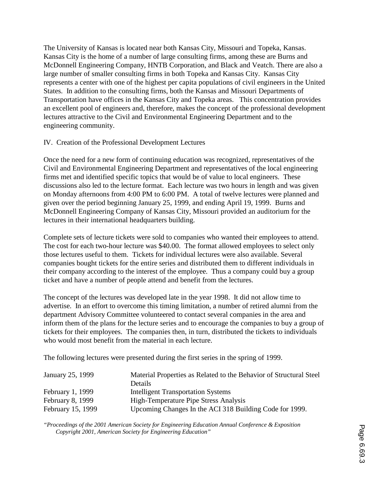The University of Kansas is located near both Kansas City, Missouri and Topeka, Kansas. Kansas City is the home of a number of large consulting firms, among these are Burns and McDonnell Engineering Company, HNTB Corporation, and Black and Veatch. There are also a large number of smaller consulting firms in both Topeka and Kansas City. Kansas City represents a center with one of the highest per capita populations of civil engineers in the United States. In addition to the consulting firms, both the Kansas and Missouri Departments of Transportation have offices in the Kansas City and Topeka areas. This concentration provides an excellent pool of engineers and, therefore, makes the concept of the professional development lectures attractive to the Civil and Environmental Engineering Department and to the engineering community.

### IV. Creation of the Professional Development Lectures

Once the need for a new form of continuing education was recognized, representatives of the Civil and Environmental Engineering Department and representatives of the local engineering firms met and identified specific topics that would be of value to local engineers. These discussions also led to the lecture format. Each lecture was two hours in length and was given on Monday afternoons from 4:00 PM to 6:00 PM. A total of twelve lectures were planned and given over the period beginning January 25, 1999, and ending April 19, 1999. Burns and McDonnell Engineering Company of Kansas City, Missouri provided an auditorium for the lectures in their international headquarters building.

Complete sets of lecture tickets were sold to companies who wanted their employees to attend. The cost for each two-hour lecture was \$40.00. The format allowed employees to select only those lectures useful to them. Tickets for individual lectures were also available. Several companies bought tickets for the entire series and distributed them to different individuals in their company according to the interest of the employee. Thus a company could buy a group ticket and have a number of people attend and benefit from the lectures.

The concept of the lectures was developed late in the year 1998. It did not allow time to advertise. In an effort to overcome this timing limitation, a number of retired alumni from the department Advisory Committee volunteered to contact several companies in the area and inform them of the plans for the lecture series and to encourage the companies to buy a group of tickets for their employees. The companies then, in turn, distributed the tickets to individuals who would most benefit from the material in each lecture.

The following lectures were presented during the first series in the spring of 1999.

| January 25, 1999  | Material Properties as Related to the Behavior of Structural Steel |
|-------------------|--------------------------------------------------------------------|
|                   | Details                                                            |
| February 1, 1999  | <b>Intelligent Transportation Systems</b>                          |
| February 8, 1999  | High-Temperature Pipe Stress Analysis                              |
| February 15, 1999 | Upcoming Changes In the ACI 318 Building Code for 1999.            |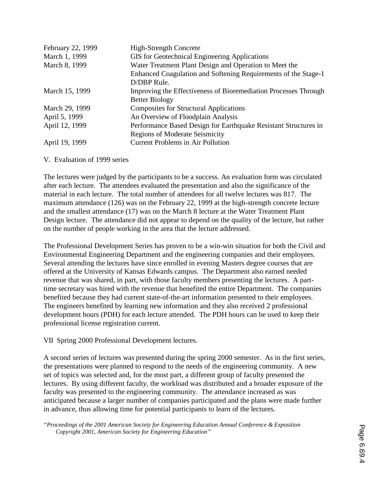| February 22, 1999 | <b>High-Strength Concrete</b>                                   |
|-------------------|-----------------------------------------------------------------|
| March 1, 1999     | GIS for Geotechnical Engineering Applications                   |
| March 8, 1999     | Water Treatment Plant Design and Operation to Meet the          |
|                   | Enhanced Coagulation and Softening Requirements of the Stage-1  |
|                   | D/DBP Rule.                                                     |
| March 15, 1999    | Improving the Effectiveness of Bioremediation Processes Through |
|                   | <b>Better Biology</b>                                           |
| March 29, 1999    | <b>Composites for Structural Applications</b>                   |
| April 5, 1999     | An Overview of Floodplain Analysis                              |
| April 12, 1999    | Performance Based Design for Earthquake Resistant Structures in |
|                   | <b>Regions of Moderate Seismicity</b>                           |
| April 19, 1999    | <b>Current Problems in Air Pollution</b>                        |

V. Evaluation of 1999 series

The lectures were judged by the participants to be a success. An evaluation form was circulated after each lecture. The attendees evaluated the presentation and also the significance of the material in each lecture. The total number of attendees for all twelve lectures was 817. The maximum attendance (126) was on the February 22, 1999 at the high-strength concrete lecture and the smallest attendance (17) was on the March 8 lecture at the Water Treatment Plant Design lecture. The attendance did not appear to depend on the quality of the lecture, but rather on the number of people working in the area that the lecture addressed.

The Professional Development Series has proven to be a win-win situation for both the Civil and Environmental Engineering Department and the engineering companies and their employees. Several attending the lectures have since enrolled in evening Masters degree courses that are offered at the University of Kansas Edwards campus. The Department also earned needed revenue that was shared, in part, with those faculty members presenting the lectures. A parttime secretary was hired with the revenue that benefited the entire Department. The companies benefited because they had current state-of-the-art information presented to their employees. The engineers benefited by learning new information and they also received 2 professional development hours (PDH) for each lecture attended. The PDH hours can be used to keep their professional license registration current.

VII Spring 2000 Professional Development lectures.

A second series of lectures was presented during the spring 2000 semester. As in the first series, the presentations were planned to respond to the needs of the engineering community. A new set of topics was selected and, for the most part, a different group of faculty presented the lectures. By using different faculty, the workload was distributed and a broader exposure of the faculty was presented to the engineering community. The attendance increased as was anticipated because a larger number of companies participated and the plans were made further in advance, thus allowing time for potential participants to learn of the lectures.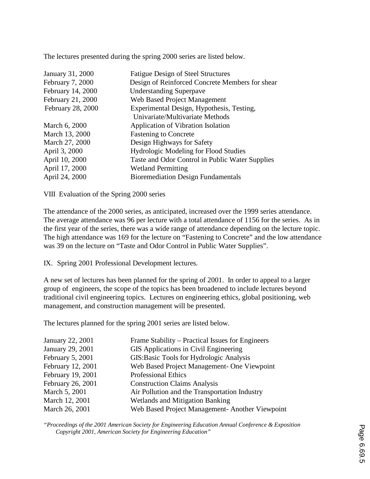The lectures presented during the spring 2000 series are listed below.

| January 31, 2000  | <b>Fatigue Design of Steel Structures</b>       |
|-------------------|-------------------------------------------------|
|                   |                                                 |
| February 7, 2000  | Design of Reinforced Concrete Members for shear |
| February 14, 2000 | <b>Understanding Superpave</b>                  |
| February 21, 2000 | <b>Web Based Project Management</b>             |
| February 28, 2000 | Experimental Design, Hypothesis, Testing,       |
|                   | Univariate/Multivariate Methods                 |
| March 6, 2000     | Application of Vibration Isolation              |
| March 13, 2000    | <b>Fastening to Concrete</b>                    |
| March 27, 2000    | Design Highways for Safety                      |
| April 3, 2000     | <b>Hydrologic Modeling for Flood Studies</b>    |
| April 10, 2000    | Taste and Odor Control in Public Water Supplies |
| April 17, 2000    | <b>Wetland Permitting</b>                       |
| April 24, 2000    | <b>Bioremediation Design Fundamentals</b>       |
|                   |                                                 |

VIII Evaluation of the Spring 2000 series

The attendance of the 2000 series, as anticipated, increased over the 1999 series attendance. The average attendance was 96 per lecture with a total attendance of 1156 for the series. As in the first year of the series, there was a wide range of attendance depending on the lecture topic. The high attendance was 169 for the lecture on "Fastening to Concrete" and the low attendance was 39 on the lecture on "Taste and Odor Control in Public Water Supplies".

IX. Spring 2001 Professional Development lectures.

A new set of lectures has been planned for the spring of 2001. In order to appeal to a larger group of engineers, the scope of the topics has been broadened to include lectures beyond traditional civil engineering topics. Lectures on engineering ethics, global positioning, web management, and construction management will be presented.

The lectures planned for the spring 2001 series are listed below.

| January 22, 2001  | Frame Stability – Practical Issues for Engineers |
|-------------------|--------------------------------------------------|
| January 29, 2001  | <b>GIS</b> Applications in Civil Engineering     |
| February 5, 2001  | GIS: Basic Tools for Hydrologic Analysis         |
| February 12, 2001 | Web Based Project Management- One Viewpoint      |
| February 19, 2001 | <b>Professional Ethics</b>                       |
| February 26, 2001 | <b>Construction Claims Analysis</b>              |
| March 5, 2001     | Air Pollution and the Transportation Industry    |
| March 12, 2001    | <b>Wetlands and Mitigation Banking</b>           |
| March 26, 2001    | Web Based Project Management- Another Viewpoint  |